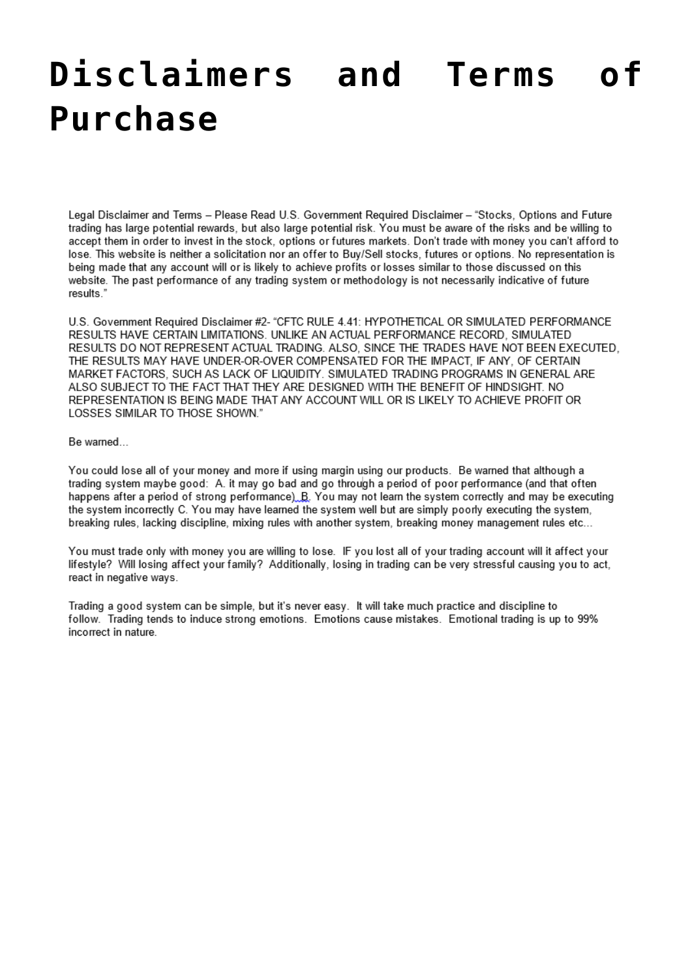## Disclaimers and Terms **Purchase**

Legal Disclaimer and Terms - Please Read U.S. Government Required Disclaimer - "Stocks, Options and Future trading has large potential rewards, but also large potential risk. You must be aware of the risks and be willing to accept them in order to invest in the stock, options or futures markets. Don't trade with money you can't afford to lose. This website is neither a solicitation nor an offer to Buy/Sell stocks, futures or options. No representation is being made that any account will or is likely to achieve profits or losses similar to those discussed on this website. The past performance of any trading system or methodology is not necessarily indicative of future results.'

U.S. Government Required Disclaimer #2- "CFTC RULE 4.41: HYPOTHETICAL OR SIMULATED PERFORMANCE RESULTS HAVE CERTAIN LIMITATIONS. UNLIKE AN ACTUAL PERFORMANCE RECORD, SIMULATED RESULTS DO NOT REPRESENT ACTUAL TRADING. ALSO, SINCE THE TRADES HAVE NOT BEEN EXECUTED, THE RESULTS MAY HAVE UNDER-OR-OVER COMPENSATED FOR THE IMPACT, IF ANY, OF CERTAIN MARKET FACTORS, SUCH AS LACK OF LIQUIDITY. SIMULATED TRADING PROGRAMS IN GENERAL ARE ALSO SUBJECT TO THE FACT THAT THEY ARE DESIGNED WITH THE BENEFIT OF HINDSIGHT. NO REPRESENTATION IS BEING MADE THAT ANY ACCOUNT WILL OR IS LIKELY TO ACHIEVE PROFIT OR LOSSES SIMILAR TO THOSE SHOWN."

## Be warned...

You could lose all of your money and more if using margin using our products. Be warned that although a trading system maybe good: A. it may go bad and go through a period of poor performance (and that often happens after a period of strong performance)  $B$ . You may not learn the system correctly and may be executing the system incorrectly C. You may have learned the system well but are simply poorly executing the system, breaking rules, lacking discipline, mixing rules with another system, breaking money management rules etc...

You must trade only with money you are willing to lose. IF you lost all of your trading account will it affect your lifestyle? Will losing affect your family? Additionally, losing in trading can be very stressful causing you to act, react in negative ways.

Trading a good system can be simple, but it's never easy. It will take much practice and discipline to follow. Trading tends to induce strong emotions. Emotions cause mistakes. Emotional trading is up to 99% incorrect in nature.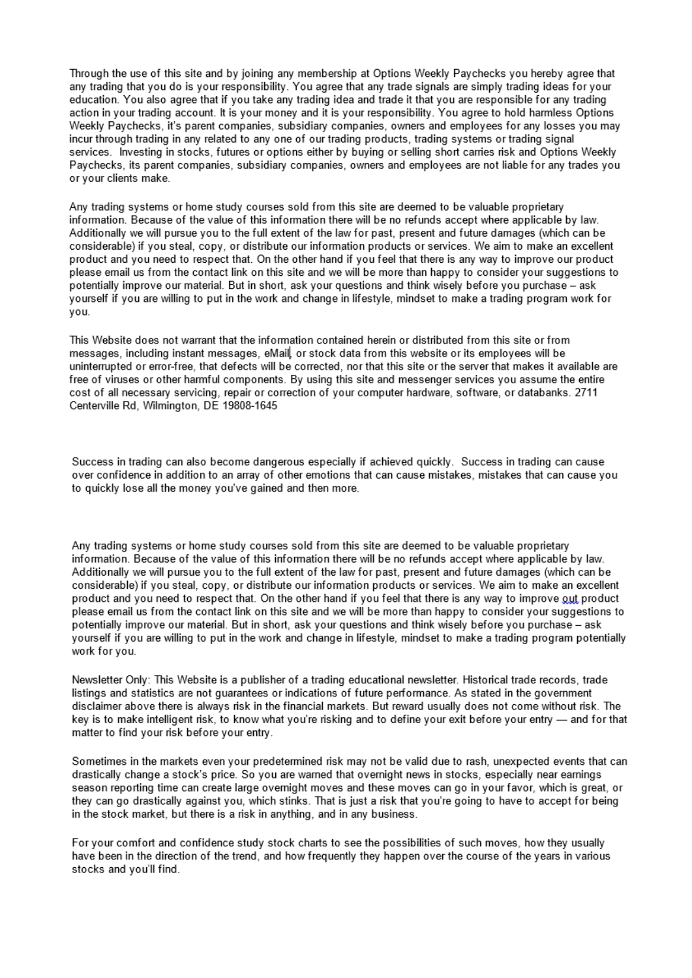Through the use of this site and by joining any membership at Options Weekly Paychecks you hereby agree that any trading that you do is your responsibility. You agree that any trade signals are simply trading ideas for your education. You also agree that if you take any trading idea and trade it that you are responsible for any trading action in your trading account. It is your money and it is your responsibility. You agree to hold harmless Options Weekly Paychecks, it's parent companies, subsidiary companies, owners and employees for any losses you may incur through trading in any related to any one of our trading products, trading systems or trading signal services. Investing in stocks, futures or options either by buying or selling short carries risk and Options Weekly Paychecks, its parent companies, subsidiary companies, owners and employees are not liable for any trades you or your clients make.

Any trading systems or home study courses sold from this site are deemed to be valuable proprietary information. Because of the value of this information there will be no refunds accept where applicable by law. Additionally we will pursue you to the full extent of the law for past, present and future damages (which can be considerable) if you steal, copy, or distribute our information products or services. We aim to make an excellent product and you need to respect that. On the other hand if you feel that there is any way to improve our product please email us from the contact link on this site and we will be more than happy to consider your suggestions to potentially improve our material. But in short, ask your questions and think wisely before you purchase - ask yourself if you are willing to put in the work and change in lifestyle, mindset to make a trading program work for you.

This Website does not warrant that the information contained herein or distributed from this site or from messages, including instant messages, eMail or stock data from this website or its employees will be uninterrupted or error-free, that defects will be corrected, nor that this site or the server that makes it available are free of viruses or other harmful components. By using this site and messenger services you assume the entire cost of all necessary servicing, repair or correction of your computer hardware, software, or databanks. 2711 Centerville Rd. Wilmington, DE 19808-1645

Success in trading can also become dangerous especially if achieved quickly. Success in trading can cause over confidence in addition to an array of other emotions that can cause mistakes, mistakes that can cause you to quickly lose all the money you've gained and then more.

Any trading systems or home study courses sold from this site are deemed to be valuable proprietary information. Because of the value of this information there will be no refunds accept where applicable by law. Additionally we will pursue you to the full extent of the law for past, present and future damages (which can be considerable) if you steal, copy, or distribute our information products or services. We aim to make an excellent product and you need to respect that. On the other hand if you feel that there is any way to improve out product please email us from the contact link on this site and we will be more than happy to consider your suggestions to potentially improve our material. But in short, ask your questions and think wisely before you purchase - ask yourself if you are willing to put in the work and change in lifestyle, mindset to make a trading program potentially work for you.

Newsletter Only: This Website is a publisher of a trading educational newsletter. Historical trade records, trade listings and statistics are not guarantees or indications of future performance. As stated in the government disclaimer above there is always risk in the financial markets. But reward usually does not come without risk. The key is to make intelligent risk, to know what you're risking and to define your exit before your entry — and for that matter to find your risk before your entry.

Sometimes in the markets even your predetermined risk may not be valid due to rash, unexpected events that can drastically change a stock's price. So you are warned that overnight news in stocks, especially near earnings season reporting time can create large overnight moves and these moves can go in your favor, which is great, or they can go drastically against you, which stinks. That is just a risk that you're going to have to accept for being in the stock market, but there is a risk in anything, and in any business.

For your comfort and confidence study stock charts to see the possibilities of such moves, how they usually have been in the direction of the trend, and how frequently they happen over the course of the years in various stocks and you'll find.